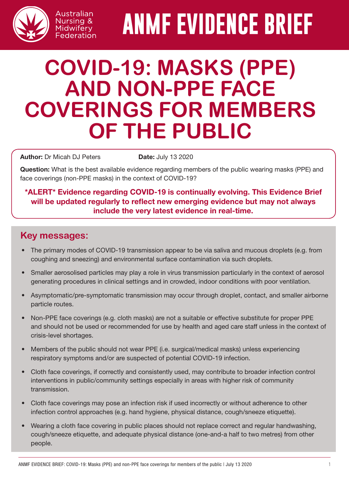

# **ANMF EVIDENCE BRIEF**

# **COVID-19: MASKS (PPE) AND NON-PPE FACE COVERINGS FOR MEMBERS OF THE PUBLIC**

Author: Dr Micah DJ Peters Date: July 13 2020

Australian Nursing & Midwifery Federation

Question: What is the best available evidence regarding members of the public wearing masks (PPE) and face coverings (non-PPE masks) in the context of COVID-19?

#### \*ALERT\* Evidence regarding COVID-19 is continually evolving. This Evidence Brief will be updated regularly to reflect new emerging evidence but may not always include the very latest evidence in real-time.

### **Key messages:**

- The primary modes of COVID-19 transmission appear to be via saliva and mucous droplets (e.g. from coughing and sneezing) and environmental surface contamination via such droplets.
- Smaller aerosolised particles may play a role in virus transmission particularly in the context of aerosol generating procedures in clinical settings and in crowded, indoor conditions with poor ventilation.
- Asymptomatic/pre-symptomatic transmission may occur through droplet, contact, and smaller airborne particle routes.
- Non-PPE face coverings (e.g. cloth masks) are not a suitable or effective substitute for proper PPE and should not be used or recommended for use by health and aged care staff unless in the context of crisis-level shortages.
- Members of the public should not wear PPE (i.e. surgical/medical masks) unless experiencing respiratory symptoms and/or are suspected of potential COVID-19 infection.
- Cloth face coverings, if correctly and consistently used, may contribute to broader infection control interventions in public/community settings especially in areas with higher risk of community transmission.
- Cloth face coverings may pose an infection risk if used incorrectly or without adherence to other infection control approaches (e.g. hand hygiene, physical distance, cough/sneeze etiquette).
- Wearing a cloth face covering in public places should not replace correct and regular handwashing, cough/sneeze etiquette, and adequate physical distance (one-and-a half to two metres) from other people.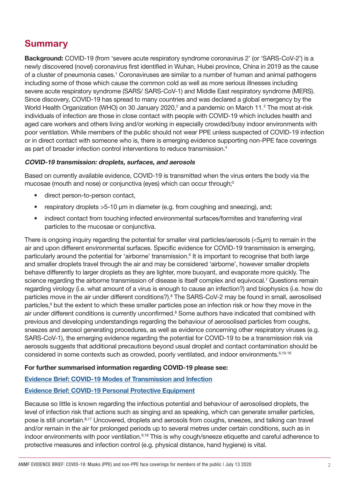# **Summary**

Background: COVID-19 (from 'severe acute respiratory syndrome coronavirus 2' (or 'SARS-CoV-2') is a newly discovered (novel) coronavirus first identified in Wuhan, Hubei province, China in 2019 as the cause of a cluster of pneumonia cases.<sup>1</sup> Coronaviruses are similar to a number of human and animal pathogens including some of those which cause the common cold as well as more serious illnesses including severe acute respiratory syndrome (SARS/ SARS-CoV-1) and Middle East respiratory syndrome (MERS). Since discovery, COVID-19 has spread to many countries and was declared a global emergency by the World Health Organization (WHO) on 30 January 2020,<sup>2</sup> and a pandemic on March 11.<sup>3</sup> The most at-risk individuals of infection are those in close contact with people with COVID-19 which includes health and aged care workers and others living and/or working in especially crowded/busy indoor environments with poor ventilation. While members of the public should not wear PPE unless suspected of COVID-19 infection or in direct contact with someone who is, there is emerging evidence supporting non-PPE face coverings as part of broader infection control interventions to reduce transmission.4

#### COVID-19 transmission: droplets, surfaces, and aerosols

Based on currently available evidence, COVID-19 is transmitted when the virus enters the body via the mucosae (mouth and nose) or conjunctiva (eyes) which can occur through;<sup>5</sup>

- direct person-to-person contact,
- respiratory droplets >5-10 μm in diameter (e.g. from coughing and sneezing), and;
- indirect contact from touching infected environmental surfaces/formites and transferring viral particles to the mucosae or conjunctiva.

There is ongoing inquiry regarding the potential for smaller viral particles/aerosols (<5μm) to remain in the air and upon different environmental surfaces. Specific evidence for COVID-19 transmission is emerging, particularly around the potential for 'airborne' transmission.<sup>6</sup> It is important to recognise that both large and smaller droplets travel through the air and may be considered 'airborne', however smaller droplets behave differently to larger droplets as they are lighter, more buoyant, and evaporate more quickly. The science regarding the airborne transmission of disease is itself complex and equivocal.<sup>7</sup> Questions remain regarding virology (i.e. what amount of a virus is enough to cause an infection?) and biophysics (i.e. how do particles move in the air under different conditions?).<sup>8</sup> The SARS-CoV-2 may be found in small, aerosolised particles,<sup>9</sup> but the extent to which these smaller particles pose an infection risk or how they move in the air under different conditions is currently unconfirmed.<sup>8</sup> Some authors have indicated that combined with previous and developing understandings regarding the behaviour of aerosolised particles from coughs, sneezes and aerosol generating procedures, as well as evidence concerning other respiratory viruses (e.g. SARS-CoV-1), the emerging evidence regarding the potential for COVID-19 to be a transmission risk via aerosols suggests that additional precautions beyond usual droplet and contact contamination should be considered in some contexts such as crowded, poorly ventilated, and indoor environments.6,10-16

#### For further summarised information regarding COVID-19 please see:

#### [Evidence Brief: COVID-19 Modes of Transmission and Infection](http://www.anmf.org.au/documents/ANMF_Evidence_Brief_COVID-19-Modes_of_transmission_and_infection.pdf)

#### [Evidence Brief: COVID-19 Personal Protective Equipment](http://www.anmf.org.au/documents/ANMF_Evidence_Brief_COVID-19-PPE.pdf)

Because so little is known regarding the infectious potential and behaviour of aerosolised droplets, the level of infection risk that actions such as singing and as speaking, which can generate smaller particles, pose is still uncertain.8,17 Uncovered, droplets and aerosols from coughs, sneezes, and talking can travel and/or remain in the air for prolonged periods up to several metres under certain conditions, such as in indoor environments with poor ventilation.<sup>9,18</sup> This is why cough/sneeze etiquette and careful adherence to protective measures and infection control (e.g. physical distance, hand hygiene) is vital.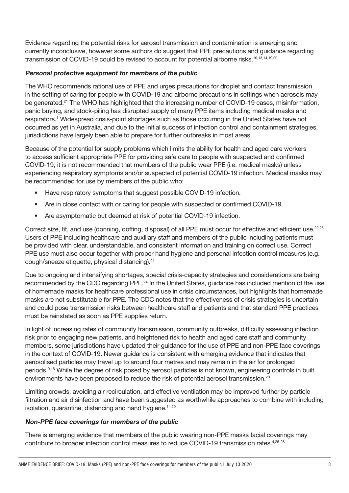Evidence regarding the potential risks for aerosol transmission and contamination is emerging and currently inconclusive, however some authors do suggest that PPE precautions and guidance regarding transmission of COVID-19 could be revised to account for potential airborne risks.<sup>10,13,14,19,20</sup>

#### Personal protective equipment for members of the public

The WHO recommends rational use of PPE and urges precautions for droplet and contact transmission in the setting of caring for people with COVID-19 and airborne precautions in settings when aerosols may be generated.<sup>21</sup> The WHO has highlighted that the increasing number of COVID-19 cases, misinformation, panic buying, and stock-piling has disrupted supply of many PPE items including medical masks and respirators.<sup>1</sup> Widespread crisis-point shortages such as those occurring in the United States have not occurred as yet in Australia, and due to the initial success of infection control and containment strategies, jurisdictions have largely been able to prepare for further outbreaks in most areas.

Because of the potential for supply problems which limits the ability for health and aged care workers to access sufficient appropriate PPE for providing safe care to people with suspected and confirmed COVID-19, it is not recommended that members of the public wear PPE (i.e. medical masks) unless experiencing respiratory symptoms and/or suspected of potential COVID-19 infection. Medical masks may be recommended for use by members of the public who:

- Have respiratory symptoms that suggest possible COVID-19 infection.
- Are in close contact with or caring for people with suspected or confirmed COVID-19.
- Are asymptomatic but deemed at risk of potential COVID-19 infection.

Correct size, fit, and use (donning, doffing, disposal) of all PPE must occur for effective and efficient use.<sup>22,23</sup> Users of PPE including healthcare and auxiliary staff and members of the public including patients must be provided with clear, understandable, and consistent information and training on correct use. Correct PPE use must also occur together with proper hand hygiene and personal infection control measures (e.g. cough/sneeze etiquette, physical distancing).21

Due to ongoing and intensifying shortages, special crisis-capacity strategies and considerations are being recommended by the CDC regarding PPE.<sup>24</sup> In the United States, guidance has included mention of the use of homemade masks for healthcare professional use in crisis circumstances, but highlights that homemade masks are not substitutable for PPE. The CDC notes that the effectiveness of crisis strategies is uncertain and could pose transmission risks between healthcare staff and patients and that standard PPE practices must be reinstated as soon as PPE supplies return.

In light of increasing rates of community transmission, community outbreaks, difficulty assessing infection risk prior to engaging new patients, and heightened risk to health and aged care staff and community members, some jurisdictions have updated their guidance for the use of PPE and non-PPE face coverings in the context of COVID-19. Newer guidance is consistent with emerging evidence that indicates that aerosolised particles may travel up to around four metres and may remain in the air for prolonged periods.9,16 While the degree of risk posed by aerosol particles is not known, engineering controls in built environments have been proposed to reduce the risk of potential aerosol transmission.<sup>20</sup>

Limiting crowds, avoiding air recirculation, and effective ventilation may be improved further by particle filtration and air disinfection and have been suggested as worthwhile approaches to combine with including isolation, quarantine, distancing and hand hygiene.<sup>14,20</sup>

#### Non-PPE face coverings for members of the public

There is emerging evidence that members of the public wearing non-PPE masks facial coverings may contribute to broader infection control measures to reduce COVID-19 transmission rates.4,25-28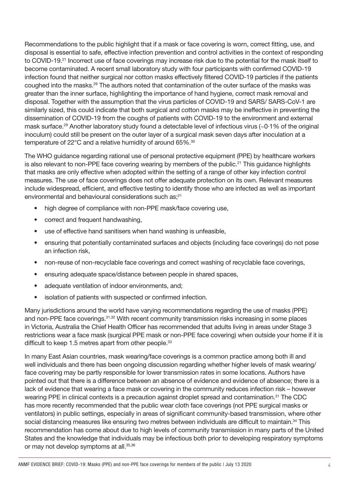Recommendations to the public highlight that if a mask or face covering is worn, correct fitting, use, and disposal is essential to safe, effective infection prevention and control activities in the context of responding to COVID-19.21 Incorrect use of face coverings may increase risk due to the potential for the mask itself to become contaminated. A recent small laboratory study with four participants with confirmed COVID-19 infection found that neither surgical nor cotton masks effectively filtered COVID-19 particles if the patients coughed into the masks.29 The authors noted that contamination of the outer surface of the masks was greater than the inner surface, highlighting the importance of hand hygiene, correct mask removal and disposal. Together with the assumption that the virus particles of COVID-19 and SARS/ SARS-CoV-1 are similarly sized, this could indicate that both surgical and cotton masks may be ineffective in preventing the dissemination of COVID-19 from the coughs of patients with COVID-19 to the environment and external mask surface.<sup>29</sup> Another laboratory study found a detectable level of infectious virus (~0·1% of the original inoculum) could still be present on the outer layer of a surgical mask seven days after inoculation at a temperature of 22°C and a relative humidity of around 65%.<sup>30</sup>

The WHO guidance regarding rational use of personal protective equipment (PPE) by healthcare workers is also relevant to non-PPE face covering wearing by members of the public.<sup>21</sup> This guidance highlights that masks are only effective when adopted within the setting of a range of other key infection control measures. The use of face coverings does not offer adequate protection on its own. Relevant measures include widespread, efficient, and effective testing to identify those who are infected as well as important environmental and behavioural considerations such as;21

- high degree of compliance with non-PPE mask/face covering use,
- correct and frequent handwashing,
- use of effective hand sanitisers when hand washing is unfeasible,
- ensuring that potentially contaminated surfaces and objects (including face coverings) do not pose an infection risk,
- non-reuse of non-recyclable face coverings and correct washing of recyclable face coverings,
- ensuring adequate space/distance between people in shared spaces,
- adequate ventilation of indoor environments, and:
- isolation of patients with suspected or confirmed infection.

Many jurisdictions around the world have varying recommendations regarding the use of masks (PPE) and non-PPE face coverings.<sup>31,32</sup> With recent community transmission risks increasing in some places in Victoria, Australia the Chief Health Officer has recommended that adults living in areas under Stage 3 restrictions wear a face mask (surgical PPE mask or non-PPE face covering) when outside your home if it is difficult to keep 1.5 metres apart from other people.<sup>33</sup>

In many East Asian countries, mask wearing/face coverings is a common practice among both ill and well individuals and there has been ongoing discussion regarding whether higher levels of mask wearing/ face covering may be partly responsible for lower transmission rates in some locations. Authors have pointed out that there is a difference between an absence of evidence and evidence of absence; there is a lack of evidence that wearing a face mask or covering in the community reduces infection risk – however wearing PPE in clinical contexts is a precaution against droplet spread and contamination.<sup>31</sup> The CDC has more recently recommended that the public wear cloth face coverings (not PPE surgical masks or ventilators) in public settings, especially in areas of significant community-based transmission, where other social distancing measures like ensuring two metres between individuals are difficult to maintain.<sup>34</sup> This recommendation has come about due to high levels of community transmission in many parts of the United States and the knowledge that individuals may be infectious both prior to developing respiratory symptoms or may not develop symptoms at all.<sup>35,36</sup>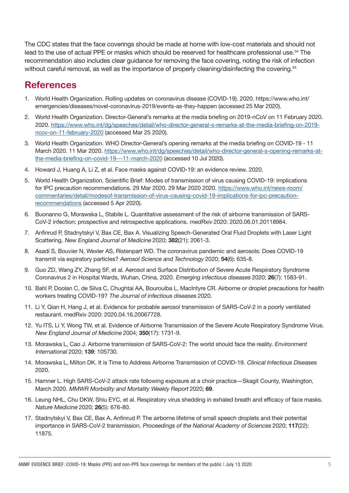The CDC states that the face coverings should be made at home with low-cost materials and should not lead to the use of actual PPE or masks which should be reserved for healthcare professional use.<sup>34</sup> The recommendation also includes clear guidance for removing the face covering, noting the risk of infection without careful removal, as well as the importance of properly cleaning/disinfecting the covering.<sup>34</sup>

## **References**

- 1. World Health Organization. Rolling updates on coronavirus disease (COVID-19). 2020. https://www.who.int/ emergencies/diseases/novel-coronavirus-2019/events-as-they-happen (accessed 25 Mar 2020).
- 2. World Health Organization. Director-General's remarks at the media briefing on 2019-nCoV on 11 February 2020. 2020. [https://www.who.int/dg/speeches/detail/who-director-general-s-remarks-at-the-media-briefing-on-2019](https://www.who.int/dg/speeches/detail/who-director-general-s-remarks-at-the-media-briefing-on-2019-ncov-on-11-february-2020) [ncov-on-11-february-2020](https://www.who.int/dg/speeches/detail/who-director-general-s-remarks-at-the-media-briefing-on-2019-ncov-on-11-february-2020) (accessed Mar 25 2020).
- 3. World Health Organization. WHO Director-General's opening remarks at the media briefing on COVID-19 11 March 2020. 11 Mar 2020. [https://www.who.int/dg/speeches/detail/who-director-general-s-opening-remarks-at](https://www.who.int/dg/speeches/detail/who-director-general-s-opening-remarks-at-the-media-briefing-on-covid-19---11-march-2020)[the-media-briefing-on-covid-19---11-march-2020](https://www.who.int/dg/speeches/detail/who-director-general-s-opening-remarks-at-the-media-briefing-on-covid-19---11-march-2020) (accessed 10 Jul 2020).
- 4. Howard J, Huang A, Li Z, et al. Face masks against COVID-19: an evidence review. 2020.
- 5. World Health Organization. Scientific Brief: Modes of transmission of virus causing COVID-19: implications for IPC precaution recommendations. 29 Mar 2020. 29 Mar 2020 2020. [https://www.who.int/news-room/](https://www.who.int/news-room/commentaries/detail/modesof-transmission-of-virus-causing-covid-19-implications-for-ipc-precaution-recommendations) [commentaries/detail/modesof-transmission-of-virus-causing-covid-19-implications-for-ipc-precaution](https://www.who.int/news-room/commentaries/detail/modesof-transmission-of-virus-causing-covid-19-implications-for-ipc-precaution-recommendations)[recommendations](https://www.who.int/news-room/commentaries/detail/modesof-transmission-of-virus-causing-covid-19-implications-for-ipc-precaution-recommendations) (accessed 5 Apr 2020).
- 6. Buonanno G, Morawska L, Stabile L. Quantitative assessment of the risk of airborne transmission of SARS-CoV-2 infection: prospective and retrospective applications. medRxiv 2020: 2020.06.01.20118984.
- 7. Anfinrud P, Stadnytskyi V, Bax CE, Bax A. Visualizing Speech-Generated Oral Fluid Droplets with Laser Light Scattering. New England Journal of Medicine 2020; 382(21): 2061-3.
- 8. Asadi S, Bouvier N, Wexler AS, Ristenpart WD. The coronavirus pandemic and aerosols: Does COVID-19 transmit via expiratory particles? Aerosol Science and Technology 2020; 54(6): 635-8.
- 9. Guo ZD, Wang ZY, Zhang SF, et al. Aerosol and Surface Distribution of Severe Acute Respiratory Syndrome Coronavirus 2 in Hospital Wards, Wuhan, China, 2020. Emerging infectious diseases 2020; 26(7): 1583-91.
- 10. Bahl P, Doolan C, de Silva C, Chughtai AA, Bourouiba L, MacIntyre CR. Airborne or droplet precautions for health workers treating COVID-19? The Journal of infectious diseases 2020.
- 11. Li Y, Qian H, Hang J, et al. Evidence for probable aerosol transmission of SARS-CoV-2 in a poorly ventilated restaurant. medRxiv 2020: 2020.04.16.20067728.
- 12. Yu ITS, Li Y, Wong TW, et al. Evidence of Airborne Transmission of the Severe Acute Respiratory Syndrome Virus. New England Journal of Medicine 2004; 350(17): 1731-9.
- 13. Morawska L, Cao J. Airborne transmission of SARS-CoV-2: The world should face the reality. Environment International 2020; 139: 105730.
- 14. Morawska L, Milton DK. It is Time to Address Airborne Transmission of COVID-19. Clinical Infectious Diseases 2020.
- 15. Hamner L. High SARS-CoV-2 attack rate following exposure at a choir practice—Skagit County, Washington, March 2020. MMWR Morbidity and Mortality Weekly Report 2020; 69.
- 16. Leung NHL, Chu DKW, Shiu EYC, et al. Respiratory virus shedding in exhaled breath and efficacy of face masks. Nature Medicine 2020; 26(5): 676-80.
- 17. Stadnytskyi V, Bax CE, Bax A, Anfinrud P. The airborne lifetime of small speech droplets and their potential importance in SARS-CoV-2 transmission. Proceedings of the National Academy of Sciences 2020; 117(22): 11875.